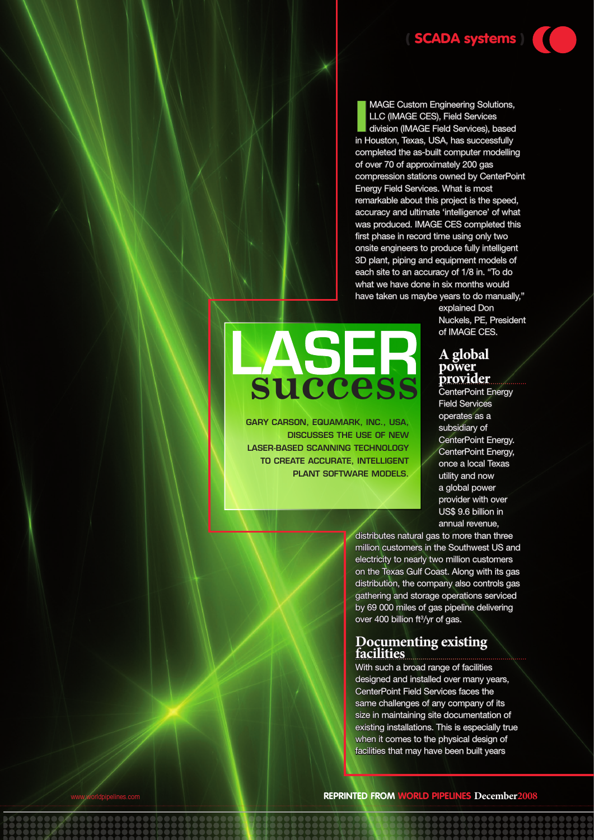**II** MAGE Custom Engineering Solutions,<br>LLC (IMAGE CES), Field Services<br>division (IMAGE Field Services), based<br>in Houston, Texas, USA, has successfully MAGE Custom Engineering Solutions, LLC (IMAGE CES), Field Services division (IMAGE Field Services), based completed the as-built computer modelling of over 70 of approximately 200 gas compression stations owned by CenterPoint Energy Field Services. What is most remarkable about this project is the speed, accuracy and ultimate 'intelligence' of what was produced. IMAGE CES completed this first phase in record time using only two onsite engineers to produce fully intelligent 3D plant, piping and equipment models of each site to an accuracy of 1/8 in. "To do what we have done in six months would have taken us maybe years to do manually,"

> explained Don Nuckels, PE, President of IMAGE CES.

### **A global power provider**

CenterPoint Energy Field Services operates as a subsidiary of CenterPoint Energy. CenterPoint Energy, once a local Texas utility and now a global power provider with over US\$ 9.6 billion in annual revenue,

distributes natural gas to more than three million customers in the Southwest US and electricity to nearly two million customers on the Texas Gulf Coast. Along with its gas distribution, the company also controls gas gathering and storage operations serviced by 69 000 miles of gas pipeline delivering over 400 billion ft<sup>3</sup>/yr of gas.

### **Documenting existing facilities**

With such a broad range of facilities designed and installed over many years, CenterPoint Field Services faces the same challenges of any company of its size in maintaining site documentation of existing installations. This is especially true when it comes to the physical design of facilities that may have been built years

www.worldpipelines.com **Reprinted from World Pipelines December2008**

# **success**

Gary Carson, Equamark, Inc., USa, discusses the use of new laser-based scanning technology to create accurate, intelligent plant software models.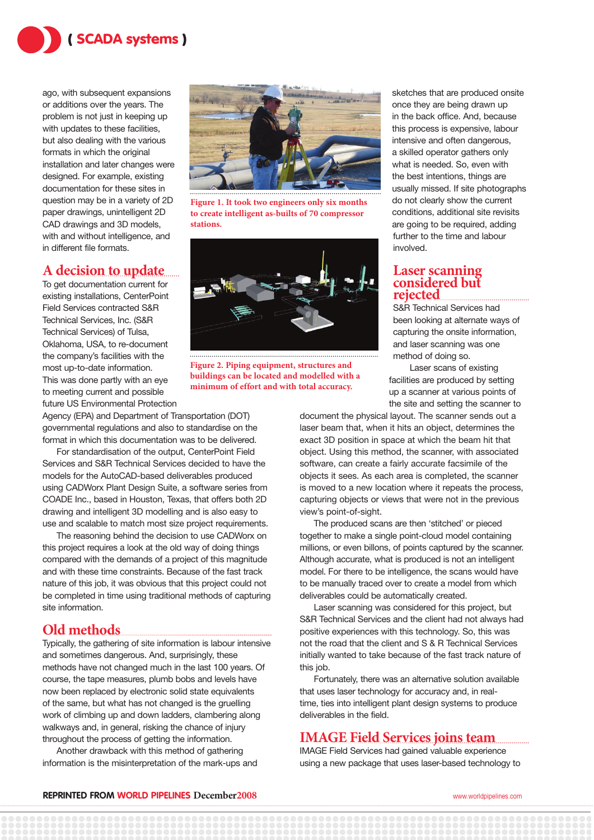

ago, with subsequent expansions or additions over the years. The problem is not just in keeping up with updates to these facilities, but also dealing with the various formats in which the original installation and later changes were designed. For example, existing documentation for these sites in question may be in a variety of 2D paper drawings, unintelligent 2D CAD drawings and 3D models, with and without intelligence, and in different file formats.

### **A decision to update**

To get documentation current for existing installations, CenterPoint Field Services contracted S&R Technical Services, Inc. (S&R Technical Services) of Tulsa, Oklahoma, USA, to re-document the company's facilities with the most up-to-date information. This was done partly with an eye to meeting current and possible future US Environmental Protection

Agency (EPA) and Department of Transportation (DOT) governmental regulations and also to standardise on the format in which this documentation was to be delivered.

For standardisation of the output, CenterPoint Field Services and S&R Technical Services decided to have the models for the AutoCAD-based deliverables produced using CADWorx Plant Design Suite, a software series from COADE Inc., based in Houston, Texas, that offers both 2D drawing and intelligent 3D modelling and is also easy to use and scalable to match most size project requirements.

The reasoning behind the decision to use CADWorx on this project requires a look at the old way of doing things compared with the demands of a project of this magnitude and with these time constraints. Because of the fast track nature of this job, it was obvious that this project could not be completed in time using traditional methods of capturing site information.

## **Old methods**

Typically, the gathering of site information is labour intensive and sometimes dangerous. And, surprisingly, these methods have not changed much in the last 100 years. Of course, the tape measures, plumb bobs and levels have now been replaced by electronic solid state equivalents of the same, but what has not changed is the gruelling work of climbing up and down ladders, clambering along walkways and, in general, risking the chance of injury throughout the process of getting the information.

Another drawback with this method of gathering information is the misinterpretation of the mark-ups and



**Figure 1. It took two engineers only six months to create intelligent as-builts of 70 compressor stations.** 



**Figure 2. Piping equipment, structures and buildings can be located and modelled with a minimum of effort and with total accuracy.** 

sketches that are produced onsite once they are being drawn up in the back office. And, because this process is expensive, labour intensive and often dangerous, a skilled operator gathers only what is needed. So, even with the best intentions, things are usually missed. If site photographs do not clearly show the current conditions, additional site revisits are going to be required, adding further to the time and labour involved.

### **Laser scanning considered but rejected**

S&R Technical Services had

been looking at alternate ways of capturing the onsite information, and laser scanning was one method of doing so.

 Laser scans of existing facilities are produced by setting up a scanner at various points of the site and setting the scanner to

document the physical layout. The scanner sends out a laser beam that, when it hits an object, determines the exact 3D position in space at which the beam hit that object. Using this method, the scanner, with associated software, can create a fairly accurate facsimile of the objects it sees. As each area is completed, the scanner is moved to a new location where it repeats the process, capturing objects or views that were not in the previous view's point-of-sight.

The produced scans are then 'stitched' or pieced together to make a single point-cloud model containing millions, or even billons, of points captured by the scanner. Although accurate, what is produced is not an intelligent model. For there to be intelligence, the scans would have to be manually traced over to create a model from which deliverables could be automatically created.

Laser scanning was considered for this project, but S&R Technical Services and the client had not always had positive experiences with this technology. So, this was not the road that the client and S & R Technical Services initially wanted to take because of the fast track nature of this job.

Fortunately, there was an alternative solution available that uses laser technology for accuracy and, in realtime, ties into intelligent plant design systems to produce deliverables in the field.

### **IMAGE Field Services joins team**

IMAGE Field Services had gained valuable experience using a new package that uses laser-based technology to